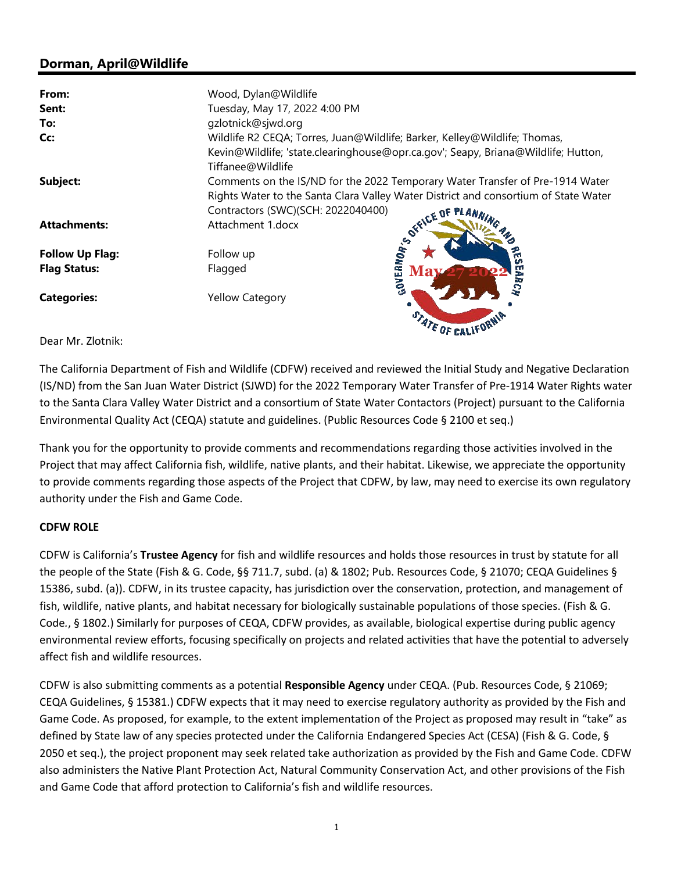# **Dorman, April@Wildlife**

| From:                  | Wood, Dylan@Wildlife                                                                                   |
|------------------------|--------------------------------------------------------------------------------------------------------|
| Sent:                  | Tuesday, May 17, 2022 4:00 PM                                                                          |
| To:                    | gzlotnick@sjwd.org                                                                                     |
| Cc:                    | Wildlife R2 CEQA; Torres, Juan@Wildlife; Barker, Kelley@Wildlife; Thomas,                              |
|                        | Kevin@Wildlife; 'state.clearinghouse@opr.ca.gov'; Seapy, Briana@Wildlife; Hutton,<br>Tiffanee@Wildlife |
| Subject:               | Comments on the IS/ND for the 2022 Temporary Water Transfer of Pre-1914 Water                          |
|                        | Rights Water to the Santa Clara Valley Water District and consortium of State Water                    |
|                        | Contractors (SWC)(SCH: 2022040400)                                                                     |
| <b>Attachments:</b>    | Attachment 1.docx                                                                                      |
|                        |                                                                                                        |
| <b>Follow Up Flag:</b> | Follow up<br>m<br>m                                                                                    |
| <b>Flag Status:</b>    | Ě<br>Flagged                                                                                           |
| <b>Categories:</b>     | <b>SOFFICE OF PLAN</b><br><b>Yellow Category</b>                                                       |
|                        | STATE OF CALIFORN                                                                                      |

Dear Mr. Zlotnik:

The California Department of Fish and Wildlife (CDFW) received and reviewed the Initial Study and Negative Declaration (IS/ND) from the San Juan Water District (SJWD) for the 2022 Temporary Water Transfer of Pre-1914 Water Rights water to the Santa Clara Valley Water District and a consortium of State Water Contactors (Project) pursuant to the California Environmental Quality Act (CEQA) statute and guidelines. (Public Resources Code § 2100 et seq.)

Thank you for the opportunity to provide comments and recommendations regarding those activities involved in the Project that may affect California fish, wildlife, native plants, and their habitat. Likewise, we appreciate the opportunity to provide comments regarding those aspects of the Project that CDFW, by law, may need to exercise its own regulatory authority under the Fish and Game Code.

## **CDFW ROLE**

CDFW is California's **Trustee Agency** for fish and wildlife resources and holds those resources in trust by statute for all the people of the State (Fish & G. Code, §§ 711.7, subd. (a) & 1802; Pub. Resources Code, § 21070; CEQA Guidelines § 15386, subd. (a)). CDFW, in its trustee capacity, has jurisdiction over the conservation, protection, and management of fish, wildlife, native plants, and habitat necessary for biologically sustainable populations of those species. (Fish & G. Code*.*, § 1802.) Similarly for purposes of CEQA, CDFW provides, as available, biological expertise during public agency environmental review efforts, focusing specifically on projects and related activities that have the potential to adversely affect fish and wildlife resources.

CDFW is also submitting comments as a potential **Responsible Agency** under CEQA. (Pub. Resources Code, § 21069; CEQA Guidelines, § 15381.) CDFW expects that it may need to exercise regulatory authority as provided by the Fish and Game Code. As proposed, for example, to the extent implementation of the Project as proposed may result in "take" as defined by State law of any species protected under the California Endangered Species Act (CESA) (Fish & G. Code, § 2050 et seq.), the project proponent may seek related take authorization as provided by the Fish and Game Code. CDFW also administers the Native Plant Protection Act, Natural Community Conservation Act, and other provisions of the Fish and Game Code that afford protection to California's fish and wildlife resources.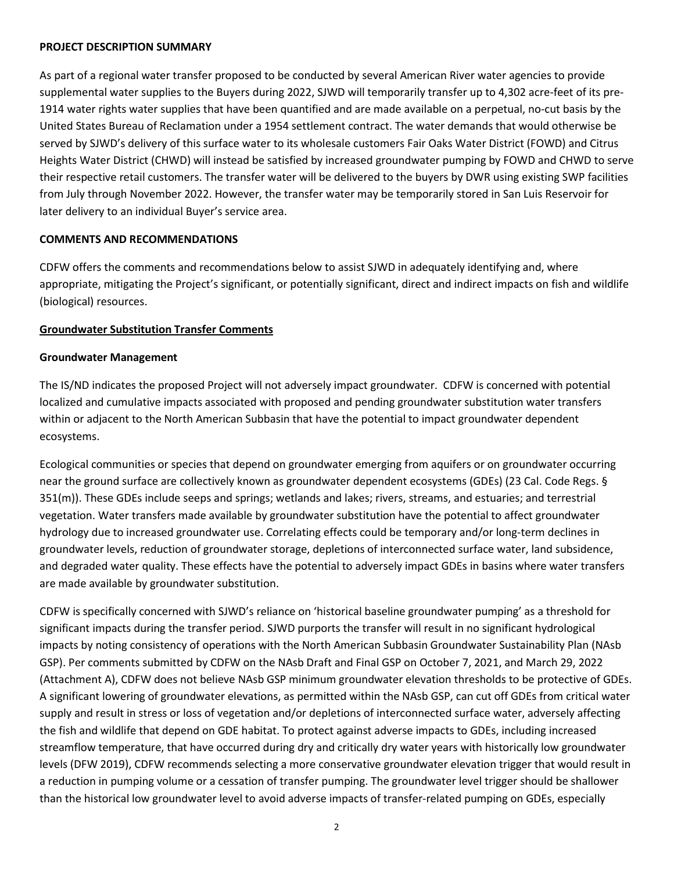#### **PROJECT DESCRIPTION SUMMARY**

As part of a regional water transfer proposed to be conducted by several American River water agencies to provide supplemental water supplies to the Buyers during 2022, SJWD will temporarily transfer up to 4,302 acre-feet of its pre-1914 water rights water supplies that have been quantified and are made available on a perpetual, no-cut basis by the United States Bureau of Reclamation under a 1954 settlement contract. The water demands that would otherwise be served by SJWD's delivery of this surface water to its wholesale customers Fair Oaks Water District (FOWD) and Citrus Heights Water District (CHWD) will instead be satisfied by increased groundwater pumping by FOWD and CHWD to serve their respective retail customers. The transfer water will be delivered to the buyers by DWR using existing SWP facilities from July through November 2022. However, the transfer water may be temporarily stored in San Luis Reservoir for later delivery to an individual Buyer's service area.

## **COMMENTS AND RECOMMENDATIONS**

CDFW offers the comments and recommendations below to assist SJWD in adequately identifying and, where appropriate, mitigating the Project's significant, or potentially significant, direct and indirect impacts on fish and wildlife (biological) resources.

# **Groundwater Substitution Transfer Comments**

## **Groundwater Management**

The IS/ND indicates the proposed Project will not adversely impact groundwater. CDFW is concerned with potential localized and cumulative impacts associated with proposed and pending groundwater substitution water transfers within or adjacent to the North American Subbasin that have the potential to impact groundwater dependent ecosystems.

Ecological communities or species that depend on groundwater emerging from aquifers or on groundwater occurring near the ground surface are collectively known as groundwater dependent ecosystems (GDEs) (23 Cal. Code Regs. § 351(m)). These GDEs include seeps and springs; wetlands and lakes; rivers, streams, and estuaries; and terrestrial vegetation. Water transfers made available by groundwater substitution have the potential to affect groundwater hydrology due to increased groundwater use. Correlating effects could be temporary and/or long-term declines in groundwater levels, reduction of groundwater storage, depletions of interconnected surface water, land subsidence, and degraded water quality. These effects have the potential to adversely impact GDEs in basins where water transfers are made available by groundwater substitution.

CDFW is specifically concerned with SJWD's reliance on 'historical baseline groundwater pumping' as a threshold for significant impacts during the transfer period. SJWD purports the transfer will result in no significant hydrological impacts by noting consistency of operations with the North American Subbasin Groundwater Sustainability Plan (NAsb GSP). Per comments submitted by CDFW on the NAsb Draft and Final GSP on October 7, 2021, and March 29, 2022 (Attachment A), CDFW does not believe NAsb GSP minimum groundwater elevation thresholds to be protective of GDEs. A significant lowering of groundwater elevations, as permitted within the NAsb GSP, can cut off GDEs from critical water supply and result in stress or loss of vegetation and/or depletions of interconnected surface water, adversely affecting the fish and wildlife that depend on GDE habitat. To protect against adverse impacts to GDEs, including increased streamflow temperature, that have occurred during dry and critically dry water years with historically low groundwater levels (DFW 2019), CDFW recommends selecting a more conservative groundwater elevation trigger that would result in a reduction in pumping volume or a cessation of transfer pumping. The groundwater level trigger should be shallower than the historical low groundwater level to avoid adverse impacts of transfer-related pumping on GDEs, especially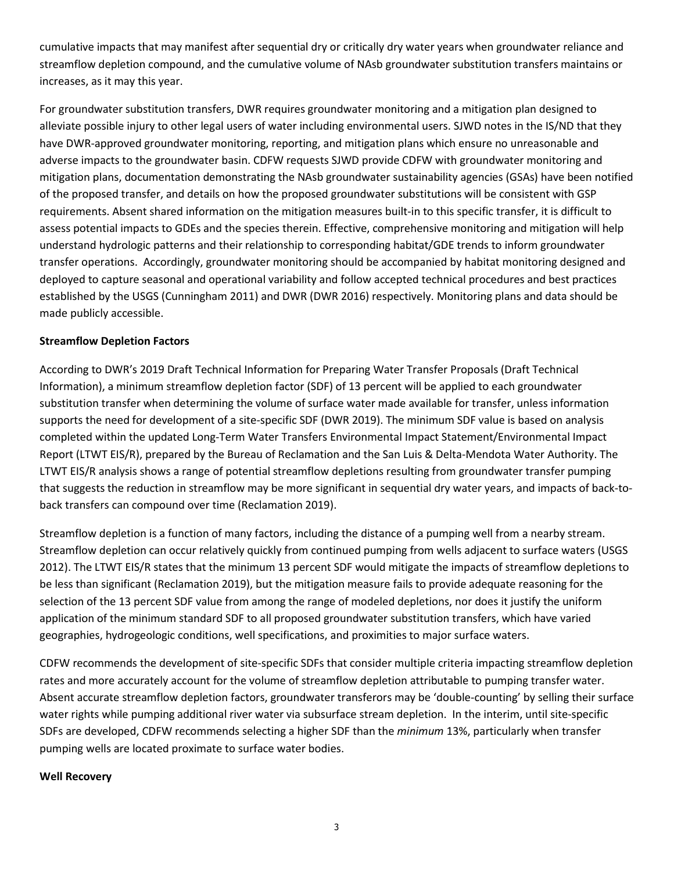cumulative impacts that may manifest after sequential dry or critically dry water years when groundwater reliance and streamflow depletion compound, and the cumulative volume of NAsb groundwater substitution transfers maintains or increases, as it may this year.

For groundwater substitution transfers, DWR requires groundwater monitoring and a mitigation plan designed to alleviate possible injury to other legal users of water including environmental users. SJWD notes in the IS/ND that they have DWR-approved groundwater monitoring, reporting, and mitigation plans which ensure no unreasonable and adverse impacts to the groundwater basin. CDFW requests SJWD provide CDFW with groundwater monitoring and mitigation plans, documentation demonstrating the NAsb groundwater sustainability agencies (GSAs) have been notified of the proposed transfer, and details on how the proposed groundwater substitutions will be consistent with GSP requirements. Absent shared information on the mitigation measures built-in to this specific transfer, it is difficult to assess potential impacts to GDEs and the species therein. Effective, comprehensive monitoring and mitigation will help understand hydrologic patterns and their relationship to corresponding habitat/GDE trends to inform groundwater transfer operations. Accordingly, groundwater monitoring should be accompanied by habitat monitoring designed and deployed to capture seasonal and operational variability and follow accepted technical procedures and best practices established by the USGS (Cunningham 2011) and DWR (DWR 2016) respectively. Monitoring plans and data should be made publicly accessible.

## **Streamflow Depletion Factors**

According to DWR's 2019 Draft Technical Information for Preparing Water Transfer Proposals (Draft Technical Information), a minimum streamflow depletion factor (SDF) of 13 percent will be applied to each groundwater substitution transfer when determining the volume of surface water made available for transfer, unless information supports the need for development of a site-specific SDF (DWR 2019). The minimum SDF value is based on analysis completed within the updated Long-Term Water Transfers Environmental Impact Statement/Environmental Impact Report (LTWT EIS/R), prepared by the Bureau of Reclamation and the San Luis & Delta-Mendota Water Authority. The LTWT EIS/R analysis shows a range of potential streamflow depletions resulting from groundwater transfer pumping that suggests the reduction in streamflow may be more significant in sequential dry water years, and impacts of back-toback transfers can compound over time (Reclamation 2019).

Streamflow depletion is a function of many factors, including the distance of a pumping well from a nearby stream. Streamflow depletion can occur relatively quickly from continued pumping from wells adjacent to surface waters (USGS 2012). The LTWT EIS/R states that the minimum 13 percent SDF would mitigate the impacts of streamflow depletions to be less than significant (Reclamation 2019), but the mitigation measure fails to provide adequate reasoning for the selection of the 13 percent SDF value from among the range of modeled depletions, nor does it justify the uniform application of the minimum standard SDF to all proposed groundwater substitution transfers, which have varied geographies, hydrogeologic conditions, well specifications, and proximities to major surface waters.

CDFW recommends the development of site-specific SDFs that consider multiple criteria impacting streamflow depletion rates and more accurately account for the volume of streamflow depletion attributable to pumping transfer water. Absent accurate streamflow depletion factors, groundwater transferors may be 'double-counting' by selling their surface water rights while pumping additional river water via subsurface stream depletion. In the interim, until site-specific SDFs are developed, CDFW recommends selecting a higher SDF than the *minimum* 13%, particularly when transfer pumping wells are located proximate to surface water bodies.

#### **Well Recovery**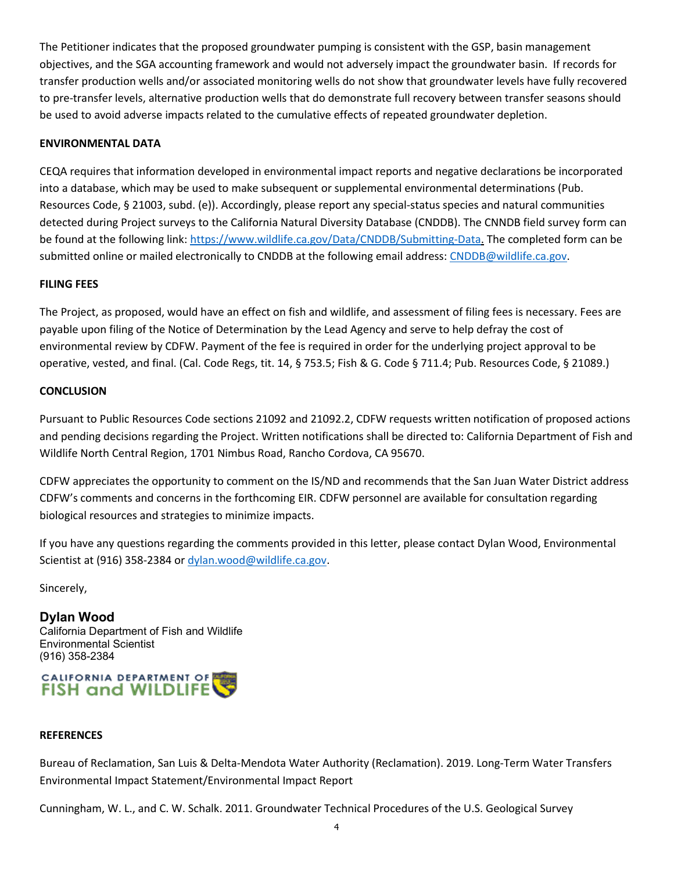The Petitioner indicates that the proposed groundwater pumping is consistent with the GSP, basin management objectives, and the SGA accounting framework and would not adversely impact the groundwater basin. If records for transfer production wells and/or associated monitoring wells do not show that groundwater levels have fully recovered to pre-transfer levels, alternative production wells that do demonstrate full recovery between transfer seasons should be used to avoid adverse impacts related to the cumulative effects of repeated groundwater depletion.

## **ENVIRONMENTAL DATA**

CEQA requires that information developed in environmental impact reports and negative declarations be incorporated into a database, which may be used to make subsequent or supplemental environmental determinations (Pub. Resources Code, § 21003, subd. (e)). Accordingly, please report any special-status species and natural communities detected during Project surveys to the California Natural Diversity Database (CNDDB). The CNNDB field survey form can be found at the following link: https://www.wildlife.ca.gov/Data/CNDDB/Submitting-Data. The completed form can be submitted online or mailed electronically to CNDDB at the following email address: CNDDB@wildlife.ca.gov.

## **FILING FEES**

The Project, as proposed, would have an effect on fish and wildlife, and assessment of filing fees is necessary. Fees are payable upon filing of the Notice of Determination by the Lead Agency and serve to help defray the cost of environmental review by CDFW. Payment of the fee is required in order for the underlying project approval to be operative, vested, and final. (Cal. Code Regs, tit. 14, § 753.5; Fish & G. Code § 711.4; Pub. Resources Code, § 21089.)

## **CONCLUSION**

Pursuant to Public Resources Code sections 21092 and 21092.2, CDFW requests written notification of proposed actions and pending decisions regarding the Project. Written notifications shall be directed to: California Department of Fish and Wildlife North Central Region, 1701 Nimbus Road, Rancho Cordova, CA 95670.

CDFW appreciates the opportunity to comment on the IS/ND and recommends that the San Juan Water District address CDFW's comments and concerns in the forthcoming EIR. CDFW personnel are available for consultation regarding biological resources and strategies to minimize impacts.

If you have any questions regarding the comments provided in this letter, please contact Dylan Wood, Environmental Scientist at (916) 358-2384 or dylan.wood@wildlife.ca.gov.

Sincerely,

**Dylan Wood**  California Department of Fish and Wildlife Environmental Scientist (916) 358-2384



## **REFERENCES**

Bureau of Reclamation, San Luis & Delta-Mendota Water Authority (Reclamation). 2019. Long-Term Water Transfers Environmental Impact Statement/Environmental Impact Report

Cunningham, W. L., and C. W. Schalk. 2011. Groundwater Technical Procedures of the U.S. Geological Survey